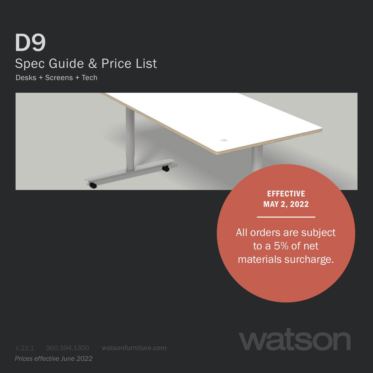# D9 Spec Guide & Price List

Desks + Screens + Tech



EFFECTIVE MAY 2, 2022

All orders are subject to a 5% of net materials surcharge.



*Prices effective June 2022*